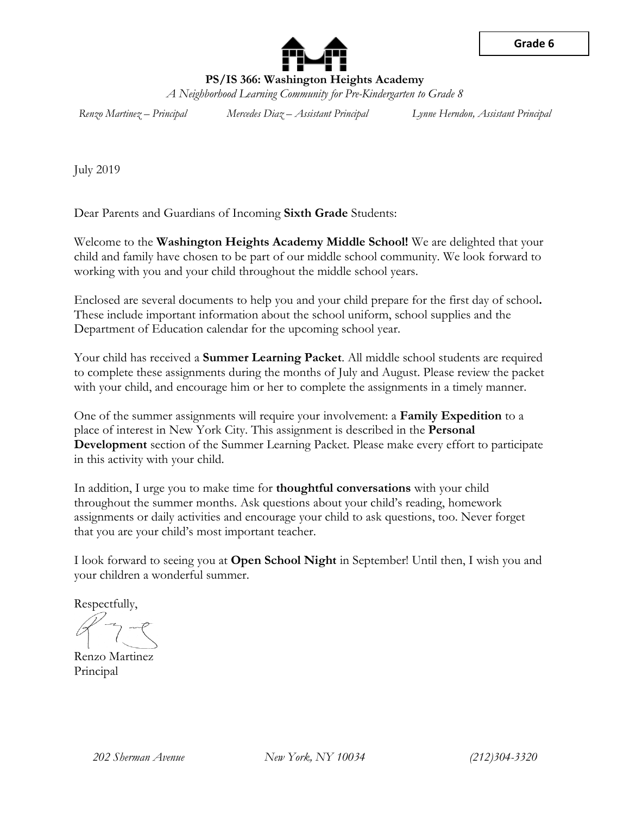

**Grade 6**

**PS/IS 366: Washington Heights Academy** *A Neighborhood Learning Community for Pre-Kindergarten to Grade 8*

*Renzo Martinez – Principal Mercedes Diaz – Assistant Principal Lynne Herndon, Assistant Principal*

July 2019

Dear Parents and Guardians of Incoming **Sixth Grade** Students:

Welcome to the **Washington Heights Academy Middle School!** We are delighted that your child and family have chosen to be part of our middle school community. We look forward to working with you and your child throughout the middle school years.

Enclosed are several documents to help you and your child prepare for the first day of school**.** These include important information about the school uniform, school supplies and the Department of Education calendar for the upcoming school year.

Your child has received a **Summer Learning Packet**. All middle school students are required to complete these assignments during the months of July and August. Please review the packet with your child, and encourage him or her to complete the assignments in a timely manner.

One of the summer assignments will require your involvement: a **Family Expedition** to a place of interest in New York City. This assignment is described in the **Personal Development** section of the Summer Learning Packet. Please make every effort to participate in this activity with your child.

In addition, I urge you to make time for **thoughtful conversations** with your child throughout the summer months. Ask questions about your child's reading, homework assignments or daily activities and encourage your child to ask questions, too. Never forget that you are your child's most important teacher.

I look forward to seeing you at **Open School Night** in September! Until then, I wish you and your children a wonderful summer.

Respectfully,

Renzo Martinez Principal